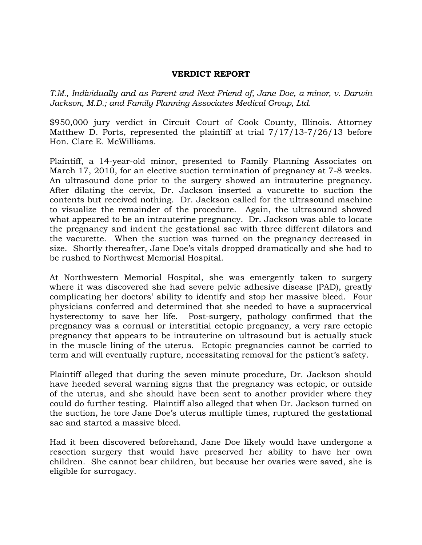## **VERDICT REPORT**

*T.M., Individually and as Parent and Next Friend of, Jane Doe, a minor, v. Darwin Jackson, M.D.; and Family Planning Associates Medical Group, Ltd.* 

\$950,000 jury verdict in Circuit Court of Cook County, Illinois. Attorney Matthew D. Ports, represented the plaintiff at trial 7/17/13-7/26/13 before Hon. Clare E. McWilliams.

Plaintiff, a 14-year-old minor, presented to Family Planning Associates on March 17, 2010, for an elective suction termination of pregnancy at 7-8 weeks. An ultrasound done prior to the surgery showed an intrauterine pregnancy. After dilating the cervix, Dr. Jackson inserted a vacurette to suction the contents but received nothing. Dr. Jackson called for the ultrasound machine to visualize the remainder of the procedure. Again, the ultrasound showed what appeared to be an intrauterine pregnancy. Dr. Jackson was able to locate the pregnancy and indent the gestational sac with three different dilators and the vacurette. When the suction was turned on the pregnancy decreased in size. Shortly thereafter, Jane Doe's vitals dropped dramatically and she had to be rushed to Northwest Memorial Hospital.

At Northwestern Memorial Hospital, she was emergently taken to surgery where it was discovered she had severe pelvic adhesive disease (PAD), greatly complicating her doctors' ability to identify and stop her massive bleed. Four physicians conferred and determined that she needed to have a supracervical hysterectomy to save her life. Post-surgery, pathology confirmed that the pregnancy was a cornual or interstitial ectopic pregnancy, a very rare ectopic pregnancy that appears to be intrauterine on ultrasound but is actually stuck in the muscle lining of the uterus. Ectopic pregnancies cannot be carried to term and will eventually rupture, necessitating removal for the patient's safety.

Plaintiff alleged that during the seven minute procedure, Dr. Jackson should have heeded several warning signs that the pregnancy was ectopic, or outside of the uterus, and she should have been sent to another provider where they could do further testing. Plaintiff also alleged that when Dr. Jackson turned on the suction, he tore Jane Doe's uterus multiple times, ruptured the gestational sac and started a massive bleed.

Had it been discovered beforehand, Jane Doe likely would have undergone a resection surgery that would have preserved her ability to have her own children. She cannot bear children, but because her ovaries were saved, she is eligible for surrogacy.